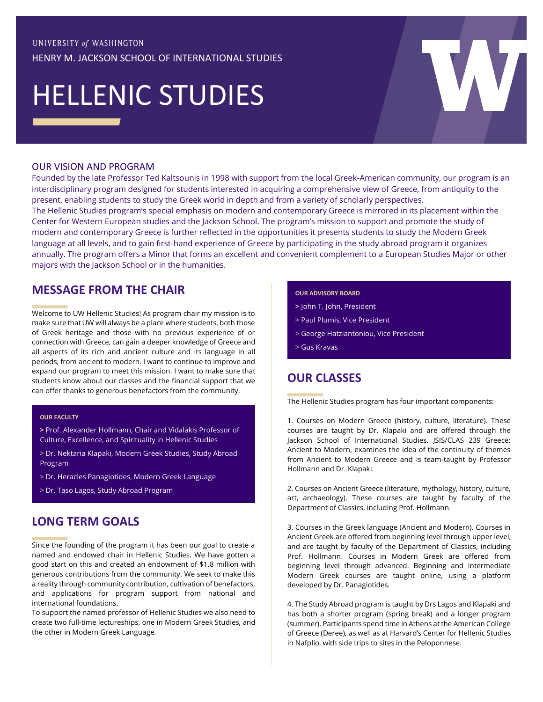# UNIVERSITY of WASHINGTON HENRY M. JACKSON SCHOOL OF INTERNATIONAL STUDIES

# HELLENIC STUDIES

# OUR VISION AND PROGRAM

Founded by the late Professor Ted Kaltsounis in 1998 with support from the local Greek-American community, our program is an interdisciplinary program designed for students interested in acquiring a comprehensive view of Greece, from antiquity to the present, enabling students to study the Greek world in depth and from a variety of scholarly perspectives. The Hellenic Studies program's special emphasis on modern and contemporary Greece is mirrored in its placement within the

Center for Western European studies and the Jackson School. The program's mission to support and promote the study of modern and contemporary Greece is further reflected in the opportunities it presents students to study the Modern Greek language at all levels, and to gain first-hand experience of Greece by participating in the study abroad program it organizes annually. The program offers a Minor that forms an excellent and convenient complement to a European Studies Major or other majors with the Jackson School or in the humanities.

# **MESSAGE FROM THE CHAIR**

Welcome to UW Hellenic Studies! As program chair my mission is to make sure that UW will always be a place where students, both those of Greek heritage and those with no previous experience of or connection with Greece, can gain a deeper knowledge of Greece and all aspects of its rich and ancient culture and its language in all periods, from ancient to modern. I want to continue to improve and expand our program to meet this mission. I want to make sure that students know about our classes and the financial support that we can offer thanks to generous benefactors from the community.

## **OUR FACULTY**

- **>** Prof. Alexander Hollmann, Chair and Vidalakis Professor of Culture, Excellence, and Spirituality in Hellenic Studies
- > Dr. Nektaria Klapaki, Modern Greek Studies, Study Abroad Program
- > Dr. Heracles Panagiotides, Modern Greek Language
- > Dr. Taso Lagos, Study Abroad Program

# **LONG TERM GOALS**

Since the founding of the program it has been our goal to create a named and endowed chair in Hellenic Studies. We have gotten a good start on this and created an endowment of \$1.8 million with generous contributions from the community. We seek to make this a reality through community contribution, cultivation of benefactors, and applications for program support from national and international foundations.

To support the named professor of Hellenic Studies we also need to create two full-time lectureships, one in Modern Greek Studies, and the other in Modern Greek Language.

## **OUR ADVISORY BOARD**

- **>** John T. John, President
- > Paul Plumis, Vice President
- > George Hatziantoniou, Vice President
- > Gus Kravas

# **OUR CLASSES**

The Hellenic Studies program has four important components:

1. Courses on Modern Greece (history, culture, literature). These courses are taught by Dr. Klapaki and are offered through the Jackson School of International Studies. JSIS/CLAS 239 Greece: Ancient to Modern, examines the idea of the continuity of themes from Ancient to Modern Greece and is team-taught by Professor Hollmann and Dr. Klapaki.

2. Courses on Ancient Greece (literature, mythology, history, culture, art, archaeology). These courses are taught by faculty of the Department of Classics, including Prof. Hollmann.

3. Courses in the Greek language (Ancient and Modern). Courses in Ancient Greek are offered from beginning level through upper level, and are taught by faculty of the Department of Classics, including Prof. Hollmann. Courses in Modern Greek are offered from beginning level through advanced. Beginning and intermediate Modern Greek courses are taught online, using a platform developed by Dr. Panagiotides.

4. The Study Abroad program is taught by Drs Lagos and Klapaki and has both a shorter program (spring break) and a longer program (summer). Participants spend time in Athens at the American College of Greece (Deree), as well as at Harvard's Center for Hellenic Studies in Nafplio, with side trips to sites in the Peloponnese.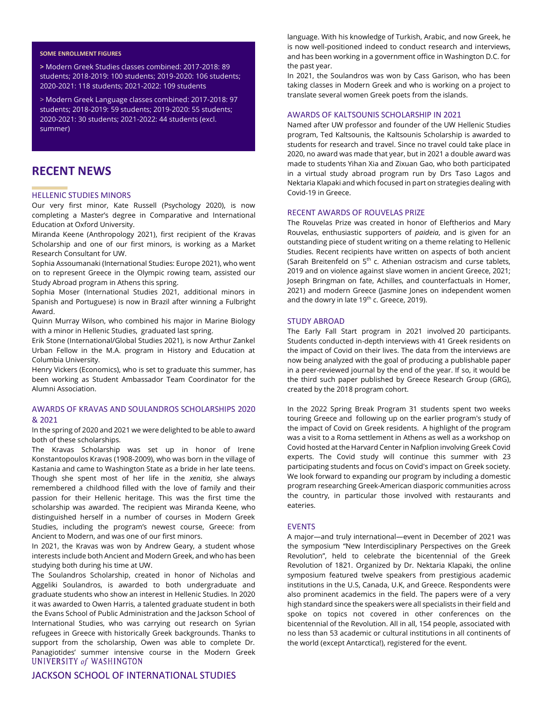#### **SOME ENROLLMENT FIGURES**

**>** Modern Greek Studies classes combined: 2017-2018: 89 students; 2018-2019: 100 students; 2019-2020: 106 students; 2020-2021: 118 students; 2021-2022: 109 students

> Modern Greek Language classes combined: 2017-2018: 97 students; 2018-2019: 59 students; 2019-2020: 55 students; 2020-2021: 30 students; 2021-2022: 44 students (excl. summer)

# **RECENT NEWS**

#### HELLENIC STUDIES MINORS

Our very first minor, Kate Russell (Psychology 2020), is now completing a Master's degree in Comparative and International Education at Oxford University.

Miranda Keene (Anthropology 2021), first recipient of the Kravas Scholarship and one of our first minors, is working as a Market Research Consultant for UW.

Sophia Assoumanaki (International Studies: Europe 2021), who went on to represent Greece in the Olympic rowing team, assisted our Study Abroad program in Athens this spring.

Sophia Moser (International Studies 2021, additional minors in Spanish and Portuguese) is now in Brazil after winning a Fulbright Award.

Quinn Murray Wilson, who combined his major in Marine Biology with a minor in Hellenic Studies, graduated last spring.

Erik Stone (International/Global Studies 2021), is now Arthur Zankel Urban Fellow in the M.A. program in History and Education at Columbia University.

Henry Vickers (Economics), who is set to graduate this summer, has been working as Student Ambassador Team Coordinator for the Alumni Association.

## AWARDS OF KRAVAS AND SOULANDROS SCHOLARSHIPS 2020 & 2021

In the spring of 2020 and 2021 we were delighted to be able to award both of these scholarships.

The Kravas Scholarship was set up in honor of Irene Konstantopoulos Kravas (1908-2009), who was born in the village of Kastania and came to Washington State as a bride in her late teens. Though she spent most of her life in the *xenitia*, she always remembered a childhood filled with the love of family and their passion for their Hellenic heritage. This was the first time the scholarship was awarded. The recipient was Miranda Keene, who distinguished herself in a number of courses in Modern Greek Studies, including the program's newest course, Greece: from Ancient to Modern, and was one of our first minors.

In 2021, the Kravas was won by Andrew Geary, a student whose interests include both Ancient and Modern Greek, and who has been studying both during his time at UW.

The Soulandros Scholarship, created in honor of Nicholas and Aggeliki Soulandros, is awarded to both undergraduate and graduate students who show an interest in Hellenic Studies. In 2020 it was awarded to Owen Harris, a talented graduate student in both the Evans School of Public Administration and the Jackson School of International Studies, who was carrying out research on Syrian refugees in Greece with historically Greek backgrounds. Thanks to support from the scholarship, Owen was able to complete Dr. Panagiotides' summer intensive course in the Modern Greek UNIVERSITY of WASHINGTON

## JACKSON SCHOOL OF INTERNATIONAL STUDIES

language. With his knowledge of Turkish, Arabic, and now Greek, he is now well-positioned indeed to conduct research and interviews, and has been working in a government office in Washington D.C. for the past year.

In 2021, the Soulandros was won by Cass Garison, who has been taking classes in Modern Greek and who is working on a project to translate several women Greek poets from the islands.

### AWARDS OF KALTSOUNIS SCHOLARSHIP IN 2021

Named after UW professor and founder of the UW Hellenic Studies program, Ted Kaltsounis, the Kaltsounis Scholarship is awarded to students for research and travel. Since no travel could take place in 2020, no award was made that year, but in 2021 a double award was made to students Yihan Xia and Zixuan Gao, who both participated in a virtual study abroad program run by Drs Taso Lagos and Nektaria Klapaki and which focused in part on strategies dealing with Covid-19 in Greece.

#### RECENT AWARDS OF ROUVELAS PRIZE

The Rouvelas Prize was created in honor of Eleftherios and Mary Rouvelas, enthusiastic supporters of *paideia*, and is given for an outstanding piece of student writing on a theme relating to Hellenic Studies. Recent recipients have written on aspects of both ancient (Sarah Breitenfeld on  $5<sup>th</sup>$  c. Athenian ostracism and curse tablets, 2019 and on violence against slave women in ancient Greece, 2021; Joseph Bringman on fate, Achilles, and counterfactuals in Homer, 2021) and modern Greece (Jasmine Jones on independent women and the dowry in late  $19<sup>th</sup>$  c. Greece, 2019).

## STUDY ABROAD

The Early Fall Start program in 2021 involved 20 participants. Students conducted in-depth interviews with 41 Greek residents on the impact of Covid on their lives. The data from the interviews are now being analyzed with the goal of producing a publishable paper in a peer-reviewed journal by the end of the year. If so, it would be the third such paper published by Greece Research Group (GRG), created by the 2018 program cohort.

In the 2022 Spring Break Program 31 students spent two weeks touring Greece and following up on the earlier program's study of the impact of Covid on Greek residents. A highlight of the program was a visit to a Roma settlement in Athens as well as a workshop on Covid hosted at the Harvard Center in Nafplion involving Greek Covid experts. The Covid study will continue this summer with 23 participating students and focus on Covid's impact on Greek society. We look forward to expanding our program by including a domestic program researching Greek-American diasporic communities across the country, in particular those involved with restaurants and eateries.

## EVENTS

A major—and truly international—event in December of 2021 was the symposium "New Interdisciplinary Perspectives on the Greek Revolution", held to celebrate the bicentennial of the Greek Revolution of 1821. Organized by Dr. Nektaria Klapaki, the online symposium featured twelve speakers from prestigious academic institutions in the U.S, Canada, U.K, and Greece. Respondents were also prominent academics in the field. The papers were of a very high standard since the speakers were all specialists in their field and spoke on topics not covered in other conferences on the bicentennial of the Revolution. All in all, 154 people, associated with no less than 53 academic or cultural institutions in all continents of the world (except Antarctica!), registered for the event.